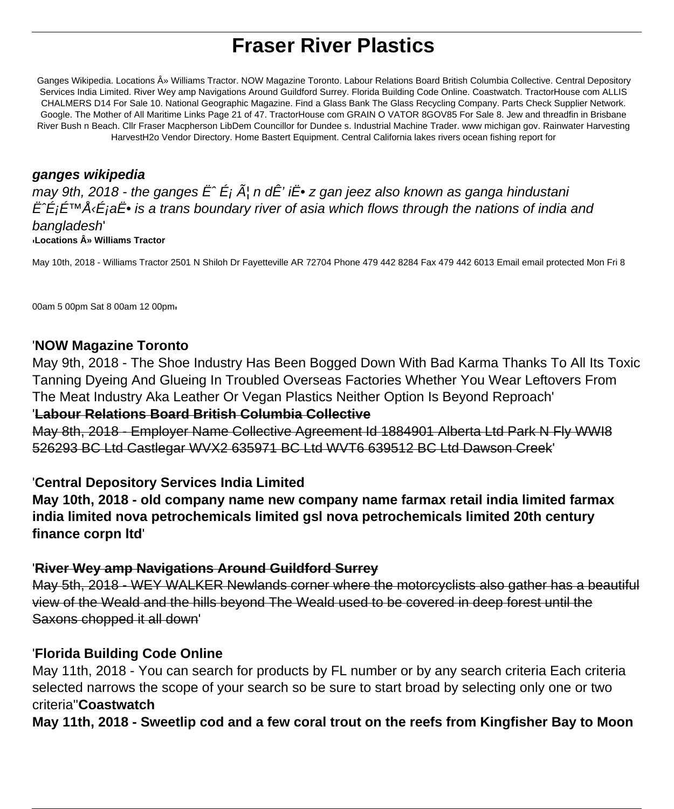# **Fraser River Plastics**

Ganges Wikipedia. Locations » Williams Tractor. NOW Magazine Toronto. Labour Relations Board British Columbia Collective. Central Depository Services India Limited. River Wey amp Navigations Around Guildford Surrey. Florida Building Code Online. Coastwatch. TractorHouse com ALLIS CHALMERS D14 For Sale 10. National Geographic Magazine. Find a Glass Bank The Glass Recycling Company. Parts Check Supplier Network. Google. The Mother of All Maritime Links Page 21 of 47. TractorHouse com GRAIN O VATOR 8GOV85 For Sale 8. Jew and threadfin in Brisbane River Bush n Beach. Cllr Fraser Macpherson LibDem Councillor for Dundee s. Industrial Machine Trader. www michigan gov. Rainwater Harvesting HarvestH2o Vendor Directory. Home Bastert Equipment. Central California lakes rivers ocean fishing report for

### **ganges wikipedia**

may 9th, 2018 - the ganges  $\ddot{E}^{\hat{}}\dot{E}$ i  $\tilde{A}$ , n d $\dot{E}$ ' i $\ddot{E}$ • z gan jeez also known as ganga hindustani  $\hat{E}\hat{\in}$  i $\hat{E}$   $\hat{E}$  is a trans boundary river of asia which flows through the nations of india and bangladesh' '**Locations » Williams Tractor**

May 10th, 2018 - Williams Tractor 2501 N Shiloh Dr Fayetteville AR 72704 Phone 479 442 8284 Fax 479 442 6013 Email email protected Mon Fri 8

00am 5 00pm Sat 8 00am 12 00pm'

### '**NOW Magazine Toronto**

May 9th, 2018 - The Shoe Industry Has Been Bogged Down With Bad Karma Thanks To All Its Toxic Tanning Dyeing And Glueing In Troubled Overseas Factories Whether You Wear Leftovers From The Meat Industry Aka Leather Or Vegan Plastics Neither Option Is Beyond Reproach'

#### '**Labour Relations Board British Columbia Collective**

May 8th, 2018 - Employer Name Collective Agreement Id 1884901 Alberta Ltd Park N Fly WWI8 526293 BC Ltd Castlegar WVX2 635971 BC Ltd WVT6 639512 BC Ltd Dawson Creek'

### '**Central Depository Services India Limited**

**May 10th, 2018 - old company name new company name farmax retail india limited farmax india limited nova petrochemicals limited gsl nova petrochemicals limited 20th century finance corpn ltd**'

### '**River Wey amp Navigations Around Guildford Surrey**

May 5th, 2018 - WEY WALKER Newlands corner where the motorcyclists also gather has a beautiful view of the Weald and the hills beyond The Weald used to be covered in deep forest until the Saxons chopped it all down'

### '**Florida Building Code Online**

May 11th, 2018 - You can search for products by FL number or by any search criteria Each criteria selected narrows the scope of your search so be sure to start broad by selecting only one or two criteria''**Coastwatch**

**May 11th, 2018 - Sweetlip cod and a few coral trout on the reefs from Kingfisher Bay to Moon**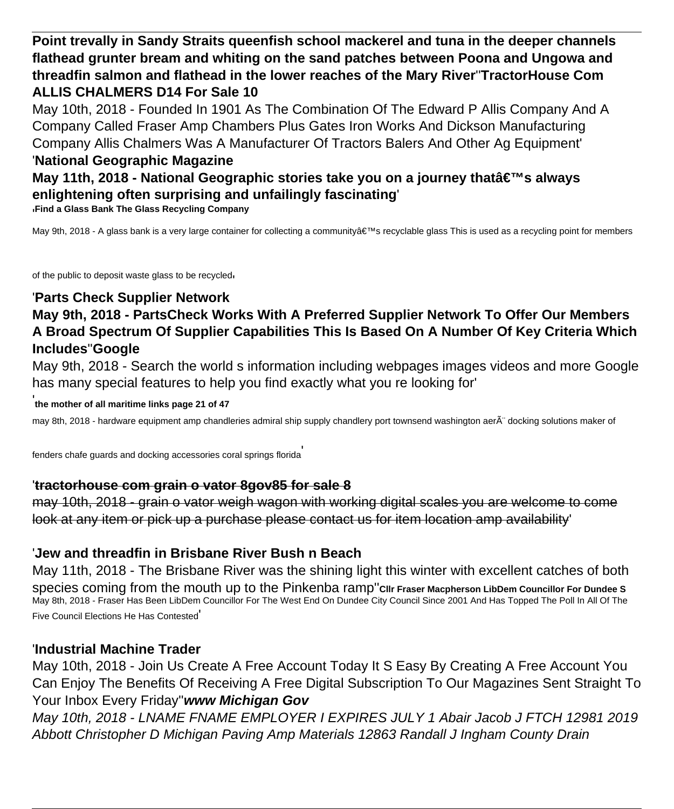**Point trevally in Sandy Straits queenfish school mackerel and tuna in the deeper channels flathead grunter bream and whiting on the sand patches between Poona and Ungowa and threadfin salmon and flathead in the lower reaches of the Mary River**''**TractorHouse Com ALLIS CHALMERS D14 For Sale 10**

May 10th, 2018 - Founded In 1901 As The Combination Of The Edward P Allis Company And A Company Called Fraser Amp Chambers Plus Gates Iron Works And Dickson Manufacturing Company Allis Chalmers Was A Manufacturer Of Tractors Balers And Other Ag Equipment'

#### '**National Geographic Magazine**

## **May 11th, 2018 - National Geographic stories take you on a journey that's always enlightening often surprising and unfailingly fascinating**'

'**Find a Glass Bank The Glass Recycling Company**

May 9th, 2018 - A glass bank is a very large container for collecting a community a€™s recyclable glass This is used as a recycling point for members

of the public to deposit waste glass to be recycled'

### '**Parts Check Supplier Network**

### **May 9th, 2018 - PartsCheck Works With A Preferred Supplier Network To Offer Our Members A Broad Spectrum Of Supplier Capabilities This Is Based On A Number Of Key Criteria Which Includes**''**Google**

May 9th, 2018 - Search the world s information including webpages images videos and more Google has many special features to help you find exactly what you re looking for'

#### ' **the mother of all maritime links page 21 of 47**

may 8th, 2018 - hardware equipment amp chandleries admiral ship supply chandlery port townsend washington aer $\tilde{A}$ " docking solutions maker of

fenders chafe guards and docking accessories coral springs florida'

#### '**tractorhouse com grain o vator 8gov85 for sale 8**

may 10th, 2018 - grain o vator weigh wagon with working digital scales you are welcome to come look at any item or pick up a purchase please contact us for item location amp availability

### '**Jew and threadfin in Brisbane River Bush n Beach**

May 11th, 2018 - The Brisbane River was the shining light this winter with excellent catches of both species coming from the mouth up to the Pinkenba ramp''**Cllr Fraser Macpherson LibDem Councillor For Dundee S** May 8th, 2018 - Fraser Has Been LibDem Councillor For The West End On Dundee City Council Since 2001 And Has Topped The Poll In All Of The Five Council Elections He Has Contested'

### '**Industrial Machine Trader**

May 10th, 2018 - Join Us Create A Free Account Today It S Easy By Creating A Free Account You Can Enjoy The Benefits Of Receiving A Free Digital Subscription To Our Magazines Sent Straight To Your Inbox Every Friday''**www Michigan Gov**

May 10th, 2018 - LNAME FNAME EMPLOYER I EXPIRES JULY 1 Abair Jacob J FTCH 12981 2019 Abbott Christopher D Michigan Paving Amp Materials 12863 Randall J Ingham County Drain